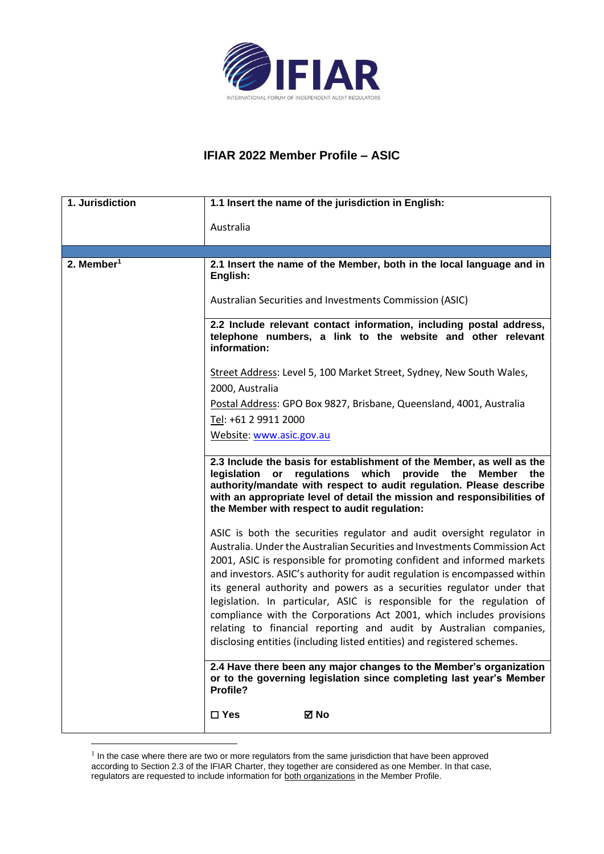

## **IFIAR 2022 Member Profile – ASIC**

| 1. Jurisdiction | 1.1 Insert the name of the jurisdiction in English:                                                                                                                                                                                                                                                                                                                                                                                                                                                                                                                                                                                                                                    |
|-----------------|----------------------------------------------------------------------------------------------------------------------------------------------------------------------------------------------------------------------------------------------------------------------------------------------------------------------------------------------------------------------------------------------------------------------------------------------------------------------------------------------------------------------------------------------------------------------------------------------------------------------------------------------------------------------------------------|
|                 | Australia                                                                                                                                                                                                                                                                                                                                                                                                                                                                                                                                                                                                                                                                              |
|                 |                                                                                                                                                                                                                                                                                                                                                                                                                                                                                                                                                                                                                                                                                        |
| 2. Member $1$   | 2.1 Insert the name of the Member, both in the local language and in<br>English:                                                                                                                                                                                                                                                                                                                                                                                                                                                                                                                                                                                                       |
|                 | Australian Securities and Investments Commission (ASIC)                                                                                                                                                                                                                                                                                                                                                                                                                                                                                                                                                                                                                                |
|                 | 2.2 Include relevant contact information, including postal address,<br>telephone numbers, a link to the website and other relevant<br>information:                                                                                                                                                                                                                                                                                                                                                                                                                                                                                                                                     |
|                 | Street Address: Level 5, 100 Market Street, Sydney, New South Wales,<br>2000, Australia                                                                                                                                                                                                                                                                                                                                                                                                                                                                                                                                                                                                |
|                 | Postal Address: GPO Box 9827, Brisbane, Queensland, 4001, Australia                                                                                                                                                                                                                                                                                                                                                                                                                                                                                                                                                                                                                    |
|                 | Tel: +61 2 9911 2000                                                                                                                                                                                                                                                                                                                                                                                                                                                                                                                                                                                                                                                                   |
|                 | Website: www.asic.gov.au                                                                                                                                                                                                                                                                                                                                                                                                                                                                                                                                                                                                                                                               |
|                 | 2.3 Include the basis for establishment of the Member, as well as the<br>legislation or regulations which provide the<br>Member<br>the<br>authority/mandate with respect to audit regulation. Please describe<br>with an appropriate level of detail the mission and responsibilities of<br>the Member with respect to audit regulation:                                                                                                                                                                                                                                                                                                                                               |
|                 | ASIC is both the securities regulator and audit oversight regulator in<br>Australia. Under the Australian Securities and Investments Commission Act<br>2001, ASIC is responsible for promoting confident and informed markets<br>and investors. ASIC's authority for audit regulation is encompassed within<br>its general authority and powers as a securities regulator under that<br>legislation. In particular, ASIC is responsible for the regulation of<br>compliance with the Corporations Act 2001, which includes provisions<br>relating to financial reporting and audit by Australian companies,<br>disclosing entities (including listed entities) and registered schemes. |
|                 | 2.4 Have there been any major changes to the Member's organization<br>or to the governing legislation since completing last year's Member<br>Profile?                                                                                                                                                                                                                                                                                                                                                                                                                                                                                                                                  |
|                 | $\square$ Yes<br>⊠ No                                                                                                                                                                                                                                                                                                                                                                                                                                                                                                                                                                                                                                                                  |

<sup>&</sup>lt;sup>1</sup> In the case where there are two or more regulators from the same jurisdiction that have been approved according to Section 2.3 of the IFIAR Charter, they together are considered as one Member. In that case, regulators are requested to include information for both organizations in the Member Profile.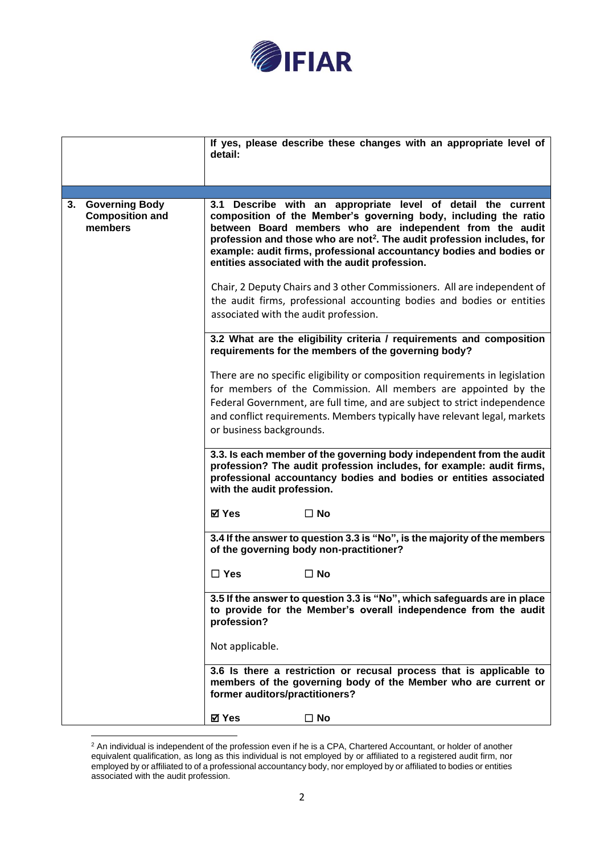

|                                                        | If yes, please describe these changes with an appropriate level of<br>detail:                                                                                                                                                                                                                                                                                                                              |  |
|--------------------------------------------------------|------------------------------------------------------------------------------------------------------------------------------------------------------------------------------------------------------------------------------------------------------------------------------------------------------------------------------------------------------------------------------------------------------------|--|
|                                                        |                                                                                                                                                                                                                                                                                                                                                                                                            |  |
| 3. Governing Body<br><b>Composition and</b><br>members | 3.1 Describe with an appropriate level of detail the current<br>composition of the Member's governing body, including the ratio<br>between Board members who are independent from the audit<br>profession and those who are not <sup>2</sup> . The audit profession includes, for<br>example: audit firms, professional accountancy bodies and bodies or<br>entities associated with the audit profession. |  |
|                                                        | Chair, 2 Deputy Chairs and 3 other Commissioners. All are independent of<br>the audit firms, professional accounting bodies and bodies or entities<br>associated with the audit profession.                                                                                                                                                                                                                |  |
|                                                        | 3.2 What are the eligibility criteria / requirements and composition<br>requirements for the members of the governing body?                                                                                                                                                                                                                                                                                |  |
|                                                        | There are no specific eligibility or composition requirements in legislation<br>for members of the Commission. All members are appointed by the<br>Federal Government, are full time, and are subject to strict independence                                                                                                                                                                               |  |
|                                                        | and conflict requirements. Members typically have relevant legal, markets<br>or business backgrounds.                                                                                                                                                                                                                                                                                                      |  |
|                                                        | 3.3. Is each member of the governing body independent from the audit<br>profession? The audit profession includes, for example: audit firms,<br>professional accountancy bodies and bodies or entities associated<br>with the audit profession.                                                                                                                                                            |  |
|                                                        | ⊠ Yes<br>$\Box$ No                                                                                                                                                                                                                                                                                                                                                                                         |  |
|                                                        | 3.4 If the answer to question 3.3 is "No", is the majority of the members<br>of the governing body non-practitioner?                                                                                                                                                                                                                                                                                       |  |
|                                                        | $\Box$ Yes<br>$\Box$ No                                                                                                                                                                                                                                                                                                                                                                                    |  |
|                                                        | 3.5 If the answer to question 3.3 is "No", which safeguards are in place<br>to provide for the Member's overall independence from the audit<br>profession?                                                                                                                                                                                                                                                 |  |
|                                                        | Not applicable.                                                                                                                                                                                                                                                                                                                                                                                            |  |
|                                                        | 3.6 Is there a restriction or recusal process that is applicable to<br>members of the governing body of the Member who are current or<br>former auditors/practitioners?                                                                                                                                                                                                                                    |  |
|                                                        | ☑ Yes<br>$\Box$ No                                                                                                                                                                                                                                                                                                                                                                                         |  |

 $2$  An individual is independent of the profession even if he is a CPA, Chartered Accountant, or holder of another equivalent qualification, as long as this individual is not employed by or affiliated to a registered audit firm, nor employed by or affiliated to of a professional accountancy body, nor employed by or affiliated to bodies or entities associated with the audit profession.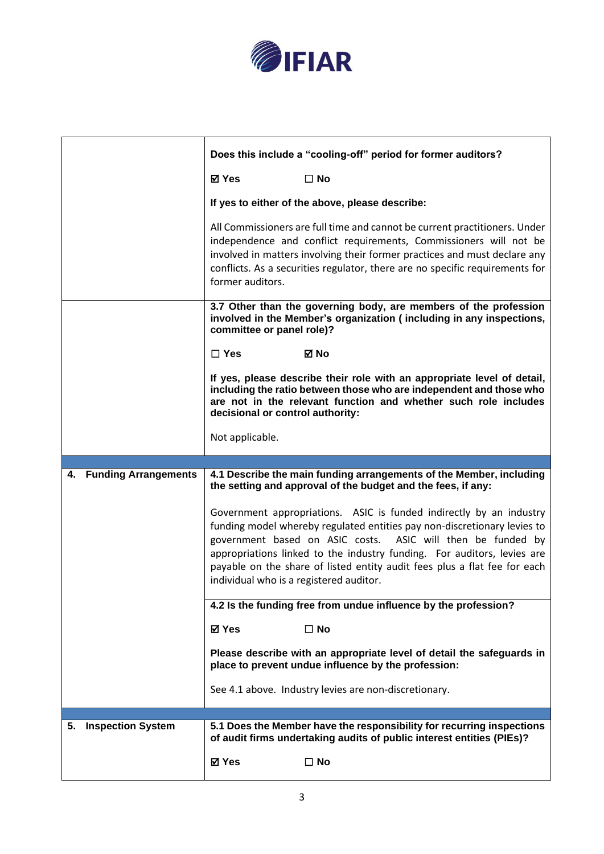

|                                | Does this include a "cooling-off" period for former auditors?                                                                                                                                                                                                                                                                                                                                                     |  |
|--------------------------------|-------------------------------------------------------------------------------------------------------------------------------------------------------------------------------------------------------------------------------------------------------------------------------------------------------------------------------------------------------------------------------------------------------------------|--|
|                                | ⊠ Yes<br>$\square$ No                                                                                                                                                                                                                                                                                                                                                                                             |  |
|                                | If yes to either of the above, please describe:                                                                                                                                                                                                                                                                                                                                                                   |  |
|                                | All Commissioners are full time and cannot be current practitioners. Under<br>independence and conflict requirements, Commissioners will not be<br>involved in matters involving their former practices and must declare any<br>conflicts. As a securities regulator, there are no specific requirements for<br>former auditors.                                                                                  |  |
|                                | 3.7 Other than the governing body, are members of the profession<br>involved in the Member's organization (including in any inspections,<br>committee or panel role)?                                                                                                                                                                                                                                             |  |
|                                | $\Box$ Yes<br>⊠ No                                                                                                                                                                                                                                                                                                                                                                                                |  |
|                                | If yes, please describe their role with an appropriate level of detail,<br>including the ratio between those who are independent and those who<br>are not in the relevant function and whether such role includes<br>decisional or control authority:                                                                                                                                                             |  |
|                                | Not applicable.                                                                                                                                                                                                                                                                                                                                                                                                   |  |
|                                |                                                                                                                                                                                                                                                                                                                                                                                                                   |  |
|                                |                                                                                                                                                                                                                                                                                                                                                                                                                   |  |
| 4. Funding Arrangements        | 4.1 Describe the main funding arrangements of the Member, including<br>the setting and approval of the budget and the fees, if any:                                                                                                                                                                                                                                                                               |  |
|                                | Government appropriations. ASIC is funded indirectly by an industry<br>funding model whereby regulated entities pay non-discretionary levies to<br>government based on ASIC costs. ASIC will then be funded by<br>appropriations linked to the industry funding. For auditors, levies are<br>payable on the share of listed entity audit fees plus a flat fee for each<br>individual who is a registered auditor. |  |
|                                | 4.2 Is the funding free from undue influence by the profession?                                                                                                                                                                                                                                                                                                                                                   |  |
|                                | <b>⊠</b> Yes<br>$\square$ No                                                                                                                                                                                                                                                                                                                                                                                      |  |
|                                | Please describe with an appropriate level of detail the safeguards in<br>place to prevent undue influence by the profession:                                                                                                                                                                                                                                                                                      |  |
|                                | See 4.1 above. Industry levies are non-discretionary.                                                                                                                                                                                                                                                                                                                                                             |  |
|                                |                                                                                                                                                                                                                                                                                                                                                                                                                   |  |
| <b>Inspection System</b><br>5. | 5.1 Does the Member have the responsibility for recurring inspections<br>of audit firms undertaking audits of public interest entities (PIEs)?                                                                                                                                                                                                                                                                    |  |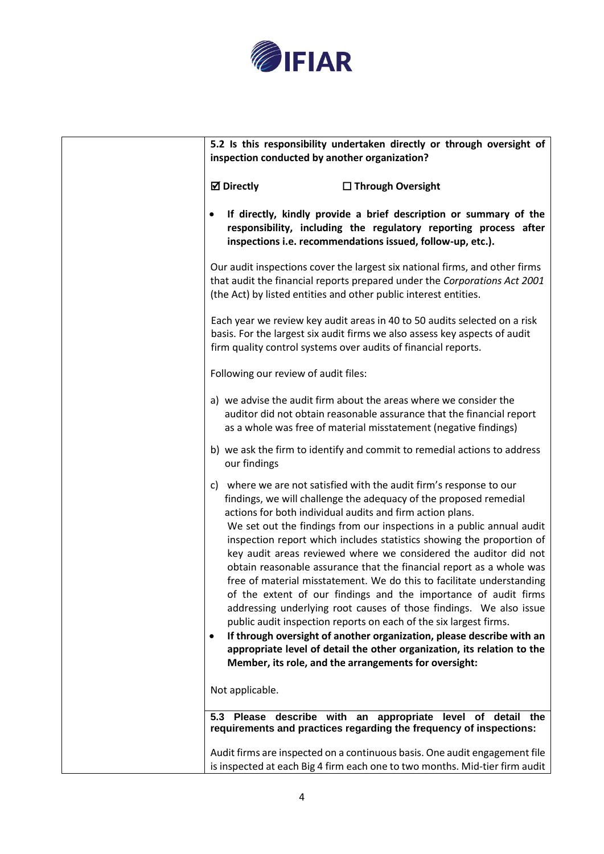

| inspection conducted by another organization? | 5.2 Is this responsibility undertaken directly or through oversight of                                                                                                                                                                                                                                                                                                                                                                                                                                                                                                                                                                                                                                                                                                                                                                                                                                                                                                                                  |
|-----------------------------------------------|---------------------------------------------------------------------------------------------------------------------------------------------------------------------------------------------------------------------------------------------------------------------------------------------------------------------------------------------------------------------------------------------------------------------------------------------------------------------------------------------------------------------------------------------------------------------------------------------------------------------------------------------------------------------------------------------------------------------------------------------------------------------------------------------------------------------------------------------------------------------------------------------------------------------------------------------------------------------------------------------------------|
| <b>Ø</b> Directly                             | $\Box$ Through Oversight                                                                                                                                                                                                                                                                                                                                                                                                                                                                                                                                                                                                                                                                                                                                                                                                                                                                                                                                                                                |
|                                               | If directly, kindly provide a brief description or summary of the<br>responsibility, including the regulatory reporting process after<br>inspections i.e. recommendations issued, follow-up, etc.).                                                                                                                                                                                                                                                                                                                                                                                                                                                                                                                                                                                                                                                                                                                                                                                                     |
|                                               | Our audit inspections cover the largest six national firms, and other firms<br>that audit the financial reports prepared under the Corporations Act 2001<br>(the Act) by listed entities and other public interest entities.                                                                                                                                                                                                                                                                                                                                                                                                                                                                                                                                                                                                                                                                                                                                                                            |
|                                               | Each year we review key audit areas in 40 to 50 audits selected on a risk<br>basis. For the largest six audit firms we also assess key aspects of audit<br>firm quality control systems over audits of financial reports.                                                                                                                                                                                                                                                                                                                                                                                                                                                                                                                                                                                                                                                                                                                                                                               |
| Following our review of audit files:          |                                                                                                                                                                                                                                                                                                                                                                                                                                                                                                                                                                                                                                                                                                                                                                                                                                                                                                                                                                                                         |
|                                               | a) we advise the audit firm about the areas where we consider the<br>auditor did not obtain reasonable assurance that the financial report<br>as a whole was free of material misstatement (negative findings)                                                                                                                                                                                                                                                                                                                                                                                                                                                                                                                                                                                                                                                                                                                                                                                          |
| our findings                                  | b) we ask the firm to identify and commit to remedial actions to address                                                                                                                                                                                                                                                                                                                                                                                                                                                                                                                                                                                                                                                                                                                                                                                                                                                                                                                                |
| Not applicable.                               | c) where we are not satisfied with the audit firm's response to our<br>findings, we will challenge the adequacy of the proposed remedial<br>actions for both individual audits and firm action plans.<br>We set out the findings from our inspections in a public annual audit<br>inspection report which includes statistics showing the proportion of<br>key audit areas reviewed where we considered the auditor did not<br>obtain reasonable assurance that the financial report as a whole was<br>free of material misstatement. We do this to facilitate understanding<br>of the extent of our findings and the importance of audit firms<br>addressing underlying root causes of those findings. We also issue<br>public audit inspection reports on each of the six largest firms.<br>If through oversight of another organization, please describe with an<br>appropriate level of detail the other organization, its relation to the<br>Member, its role, and the arrangements for oversight: |
|                                               |                                                                                                                                                                                                                                                                                                                                                                                                                                                                                                                                                                                                                                                                                                                                                                                                                                                                                                                                                                                                         |
| 5.3                                           | Please describe with an appropriate level of detail the<br>requirements and practices regarding the frequency of inspections:                                                                                                                                                                                                                                                                                                                                                                                                                                                                                                                                                                                                                                                                                                                                                                                                                                                                           |
|                                               | Audit firms are inspected on a continuous basis. One audit engagement file<br>is inspected at each Big 4 firm each one to two months. Mid-tier firm audit                                                                                                                                                                                                                                                                                                                                                                                                                                                                                                                                                                                                                                                                                                                                                                                                                                               |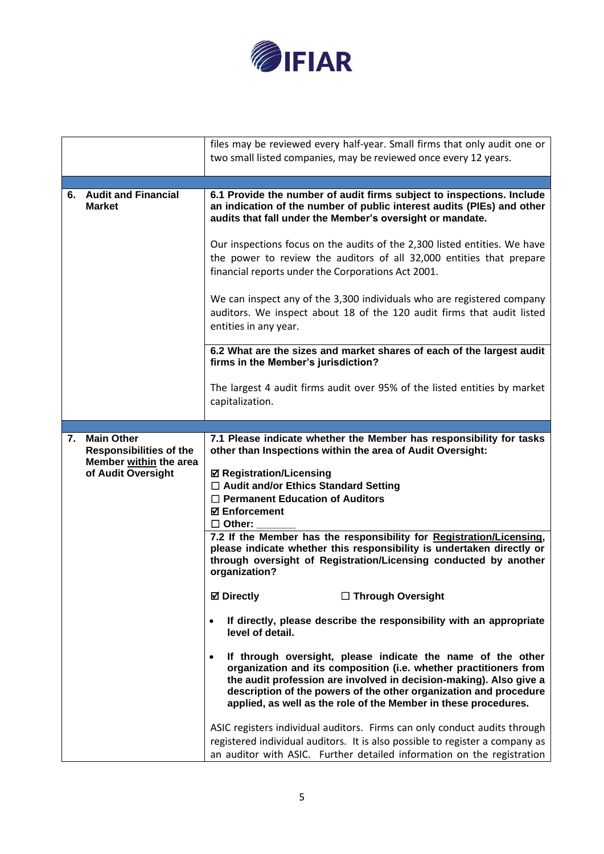

|    |                                                                                                     | files may be reviewed every half-year. Small firms that only audit one or                                                                                                                                                                                                                                                                                                                                                                                                                                                                                                                                                                                                                                                                                                                                                                                                                                                                                                                                                             |
|----|-----------------------------------------------------------------------------------------------------|---------------------------------------------------------------------------------------------------------------------------------------------------------------------------------------------------------------------------------------------------------------------------------------------------------------------------------------------------------------------------------------------------------------------------------------------------------------------------------------------------------------------------------------------------------------------------------------------------------------------------------------------------------------------------------------------------------------------------------------------------------------------------------------------------------------------------------------------------------------------------------------------------------------------------------------------------------------------------------------------------------------------------------------|
|    |                                                                                                     | two small listed companies, may be reviewed once every 12 years.                                                                                                                                                                                                                                                                                                                                                                                                                                                                                                                                                                                                                                                                                                                                                                                                                                                                                                                                                                      |
|    |                                                                                                     |                                                                                                                                                                                                                                                                                                                                                                                                                                                                                                                                                                                                                                                                                                                                                                                                                                                                                                                                                                                                                                       |
|    | 6. Audit and Financial<br><b>Market</b>                                                             | 6.1 Provide the number of audit firms subject to inspections. Include<br>an indication of the number of public interest audits (PIEs) and other<br>audits that fall under the Member's oversight or mandate.<br>Our inspections focus on the audits of the 2,300 listed entities. We have<br>the power to review the auditors of all 32,000 entities that prepare<br>financial reports under the Corporations Act 2001.<br>We can inspect any of the 3,300 individuals who are registered company<br>auditors. We inspect about 18 of the 120 audit firms that audit listed<br>entities in any year.<br>6.2 What are the sizes and market shares of each of the largest audit<br>firms in the Member's jurisdiction?<br>The largest 4 audit firms audit over 95% of the listed entities by market<br>capitalization.                                                                                                                                                                                                                  |
|    |                                                                                                     |                                                                                                                                                                                                                                                                                                                                                                                                                                                                                                                                                                                                                                                                                                                                                                                                                                                                                                                                                                                                                                       |
|    |                                                                                                     |                                                                                                                                                                                                                                                                                                                                                                                                                                                                                                                                                                                                                                                                                                                                                                                                                                                                                                                                                                                                                                       |
| 7. | <b>Main Other</b><br><b>Responsibilities of the</b><br>Member within the area<br>of Audit Oversight | 7.1 Please indicate whether the Member has responsibility for tasks<br>other than Inspections within the area of Audit Oversight:<br><b>Ø Registration/Licensing</b><br>$\Box$ Audit and/or Ethics Standard Setting<br>$\Box$ Permanent Education of Auditors<br><b>☑ Enforcement</b><br>$\Box$ Other:<br>7.2 If the Member has the responsibility for Registration/Licensing,<br>please indicate whether this responsibility is undertaken directly or<br>through oversight of Registration/Licensing conducted by another<br>organization?<br><b>☑</b> Directly<br>□ Through Oversight<br>If directly, please describe the responsibility with an appropriate<br>level of detail.<br>If through oversight, please indicate the name of the other<br>organization and its composition (i.e. whether practitioners from<br>the audit profession are involved in decision-making). Also give a<br>description of the powers of the other organization and procedure<br>applied, as well as the role of the Member in these procedures. |
|    |                                                                                                     | ASIC registers individual auditors. Firms can only conduct audits through<br>registered individual auditors. It is also possible to register a company as<br>an auditor with ASIC. Further detailed information on the registration                                                                                                                                                                                                                                                                                                                                                                                                                                                                                                                                                                                                                                                                                                                                                                                                   |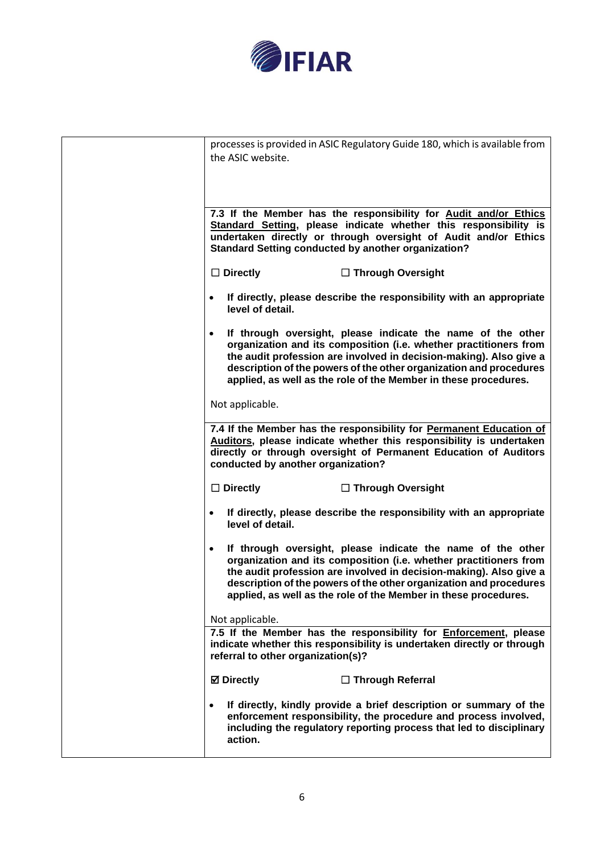

| processes is provided in ASIC Regulatory Guide 180, which is available from<br>the ASIC website.                                                                                                                                                                                                                                                             |
|--------------------------------------------------------------------------------------------------------------------------------------------------------------------------------------------------------------------------------------------------------------------------------------------------------------------------------------------------------------|
|                                                                                                                                                                                                                                                                                                                                                              |
| 7.3 If the Member has the responsibility for Audit and/or Ethics<br>Standard Setting, please indicate whether this responsibility is<br>undertaken directly or through oversight of Audit and/or Ethics<br><b>Standard Setting conducted by another organization?</b>                                                                                        |
| $\Box$ Directly<br>□ Through Oversight                                                                                                                                                                                                                                                                                                                       |
| If directly, please describe the responsibility with an appropriate<br>$\bullet$<br>level of detail.                                                                                                                                                                                                                                                         |
| If through oversight, please indicate the name of the other<br>$\bullet$<br>organization and its composition (i.e. whether practitioners from<br>the audit profession are involved in decision-making). Also give a<br>description of the powers of the other organization and procedures<br>applied, as well as the role of the Member in these procedures. |
| Not applicable.                                                                                                                                                                                                                                                                                                                                              |
| 7.4 If the Member has the responsibility for Permanent Education of<br>Auditors, please indicate whether this responsibility is undertaken<br>directly or through oversight of Permanent Education of Auditors<br>conducted by another organization?                                                                                                         |
| $\Box$ Directly<br>□ Through Oversight                                                                                                                                                                                                                                                                                                                       |
| If directly, please describe the responsibility with an appropriate<br>$\bullet$<br>level of detail.                                                                                                                                                                                                                                                         |
| If through oversight, please indicate the name of the other<br>organization and its composition (i.e. whether practitioners from<br>the audit profession are involved in decision-making). Also give a<br>description of the powers of the other organization and procedures<br>applied, as well as the role of the Member in these procedures.              |
|                                                                                                                                                                                                                                                                                                                                                              |
| Not applicable.<br>7.5 If the Member has the responsibility for <b>Enforcement</b> , please<br>indicate whether this responsibility is undertaken directly or through<br>referral to other organization(s)?                                                                                                                                                  |
| <b>Ø</b> Directly<br>$\Box$ Through Referral                                                                                                                                                                                                                                                                                                                 |
| If directly, kindly provide a brief description or summary of the<br>$\bullet$<br>enforcement responsibility, the procedure and process involved,<br>including the regulatory reporting process that led to disciplinary<br>action.                                                                                                                          |